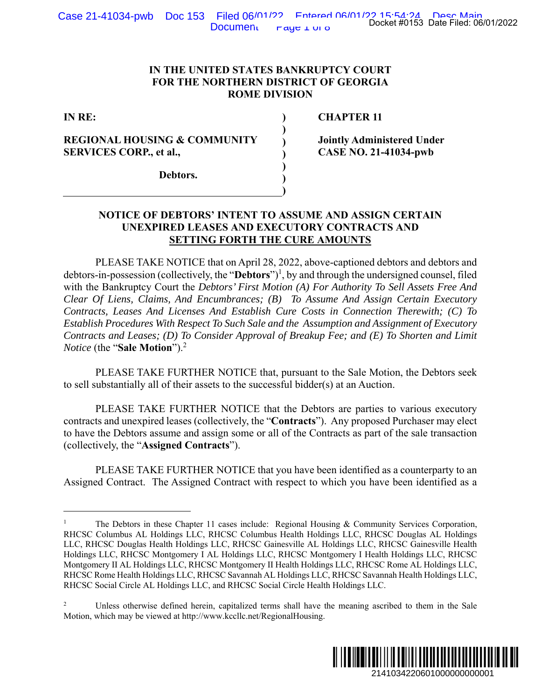#### **IN THE UNITED STATES BANKRUPTCY COURT FOR THE NORTHERN DISTRICT OF GEORGIA ROME DIVISION**

 **) ) ) ) ) ) )** 

**IN RE:** 

## **REGIONAL HOUSING & COMMUNITY SERVICES CORP., et al.,**

 **CHAPTER 11** 

**Jointly Administered Under CASE NO. 21-41034-pwb** 

**Debtors.** 

#### **NOTICE OF DEBTORS' INTENT TO ASSUME AND ASSIGN CERTAIN UNEXPIRED LEASES AND EXECUTORY CONTRACTS AND SETTING FORTH THE CURE AMOUNTS**

 PLEASE TAKE NOTICE that on April 28, 2022, above-captioned debtors and debtors and debtors-in-possession (collectively, the "**Debtors**")<sup>1</sup>, by and through the undersigned counsel, filed with the Bankruptcy Court the *Debtors' First Motion (A) For Authority To Sell Assets Free And Clear Of Liens, Claims, And Encumbrances; (B) To Assume And Assign Certain Executory Contracts, Leases And Licenses And Establish Cure Costs in Connection Therewith; (C) To Establish Procedures With Respect To Such Sale and the Assumption and Assignment of Executory Contracts and Leases; (D) To Consider Approval of Breakup Fee; and (E) To Shorten and Limit Notice* (the "**Sale Motion**").2 Docket #0153 Date Filed: 06/01/2022<br>
URT<br>
URT<br>
CIA<br>
CIA<br>
CIA<br>
CIA<br>
21-41034-pwb<br>
21-41034-pwb<br>
21600000000000000000001<br>
21600000000000000000001<br>
2160000000000000001<br>
21600000000000000001<br>
216000000000000000000000001<br>
21410

 PLEASE TAKE FURTHER NOTICE that, pursuant to the Sale Motion, the Debtors seek to sell substantially all of their assets to the successful bidder(s) at an Auction.

PLEASE TAKE FURTHER NOTICE that the Debtors are parties to various executory contracts and unexpired leases (collectively, the "**Contracts**"). Any proposed Purchaser may elect to have the Debtors assume and assign some or all of the Contracts as part of the sale transaction (collectively, the "**Assigned Contracts**").

 PLEASE TAKE FURTHER NOTICE that you have been identified as a counterparty to an Assigned Contract. The Assigned Contract with respect to which you have been identified as a

<sup>2</sup> Unless otherwise defined herein, capitalized terms shall have the meaning ascribed to them in the Sale Motion, which may be viewed at http://www.kccllc.net/RegionalHousing.



<sup>1</sup> The Debtors in these Chapter 11 cases include: Regional Housing & Community Services Corporation, RHCSC Columbus AL Holdings LLC, RHCSC Columbus Health Holdings LLC, RHCSC Douglas AL Holdings LLC, RHCSC Douglas Health Holdings LLC, RHCSC Gainesville AL Holdings LLC, RHCSC Gainesville Health Holdings LLC, RHCSC Montgomery I AL Holdings LLC, RHCSC Montgomery I Health Holdings LLC, RHCSC Montgomery II AL Holdings LLC, RHCSC Montgomery II Health Holdings LLC, RHCSC Rome AL Holdings LLC, RHCSC Rome Health Holdings LLC, RHCSC Savannah AL Holdings LLC, RHCSC Savannah Health Holdings LLC, RHCSC Social Circle AL Holdings LLC, and RHCSC Social Circle Health Holdings LLC.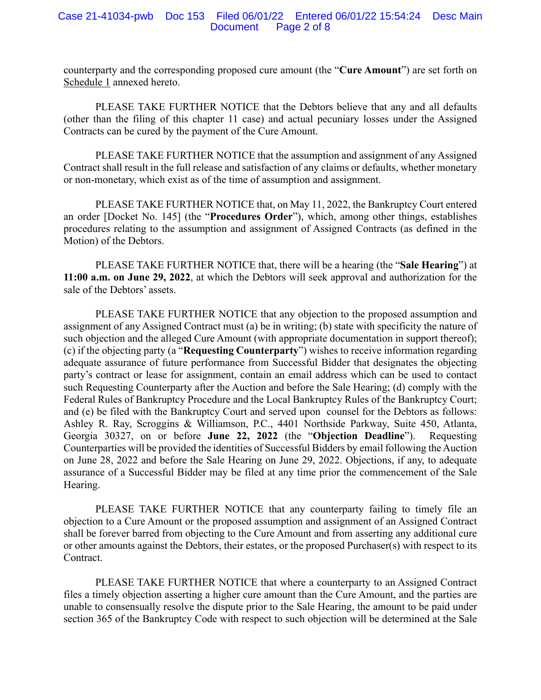#### Case 21-41034-pwb Doc 153 Filed 06/01/22 Entered 06/01/22 15:54:24 Desc Main Document Page 2 of 8

counterparty and the corresponding proposed cure amount (the "**Cure Amount**") are set forth on Schedule 1 annexed hereto.

 PLEASE TAKE FURTHER NOTICE that the Debtors believe that any and all defaults (other than the filing of this chapter 11 case) and actual pecuniary losses under the Assigned Contracts can be cured by the payment of the Cure Amount.

 PLEASE TAKE FURTHER NOTICE that the assumption and assignment of any Assigned Contract shall result in the full release and satisfaction of any claims or defaults, whether monetary or non-monetary, which exist as of the time of assumption and assignment.

PLEASE TAKE FURTHER NOTICE that, on May 11, 2022, the Bankruptcy Court entered an order [Docket No. 145] (the "**Procedures Order**"), which, among other things, establishes procedures relating to the assumption and assignment of Assigned Contracts (as defined in the Motion) of the Debtors.

PLEASE TAKE FURTHER NOTICE that, there will be a hearing (the "**Sale Hearing**") at **11:00 a.m. on June 29, 2022**, at which the Debtors will seek approval and authorization for the sale of the Debtors' assets.

PLEASE TAKE FURTHER NOTICE that any objection to the proposed assumption and assignment of any Assigned Contract must (a) be in writing; (b) state with specificity the nature of such objection and the alleged Cure Amount (with appropriate documentation in support thereof); (c) if the objecting party (a "**Requesting Counterparty**") wishes to receive information regarding adequate assurance of future performance from Successful Bidder that designates the objecting party's contract or lease for assignment, contain an email address which can be used to contact such Requesting Counterparty after the Auction and before the Sale Hearing; (d) comply with the Federal Rules of Bankruptcy Procedure and the Local Bankruptcy Rules of the Bankruptcy Court; and (e) be filed with the Bankruptcy Court and served upon counsel for the Debtors as follows: Ashley R. Ray, Scroggins & Williamson, P.C., 4401 Northside Parkway, Suite 450, Atlanta, Georgia 30327, on or before **June 22, 2022** (the "**Objection Deadline**"). Requesting Counterparties will be provided the identities of Successful Bidders by email following the Auction on June 28, 2022 and before the Sale Hearing on June 29, 2022. Objections, if any, to adequate assurance of a Successful Bidder may be filed at any time prior the commencement of the Sale Hearing.

PLEASE TAKE FURTHER NOTICE that any counterparty failing to timely file an objection to a Cure Amount or the proposed assumption and assignment of an Assigned Contract shall be forever barred from objecting to the Cure Amount and from asserting any additional cure or other amounts against the Debtors, their estates, or the proposed Purchaser(s) with respect to its Contract.

PLEASE TAKE FURTHER NOTICE that where a counterparty to an Assigned Contract files a timely objection asserting a higher cure amount than the Cure Amount, and the parties are unable to consensually resolve the dispute prior to the Sale Hearing, the amount to be paid under section 365 of the Bankruptcy Code with respect to such objection will be determined at the Sale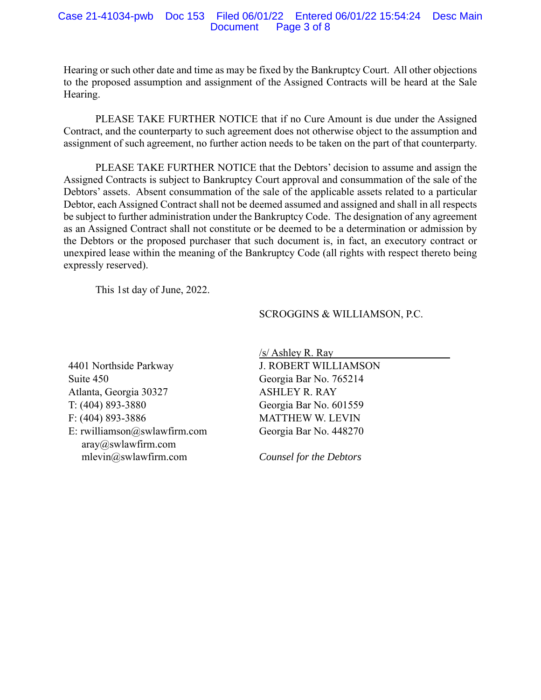#### Case 21-41034-pwb Doc 153 Filed 06/01/22 Entered 06/01/22 15:54:24 Desc Main Document Page 3 of 8

Hearing or such other date and time as may be fixed by the Bankruptcy Court. All other objections to the proposed assumption and assignment of the Assigned Contracts will be heard at the Sale Hearing.

PLEASE TAKE FURTHER NOTICE that if no Cure Amount is due under the Assigned Contract, and the counterparty to such agreement does not otherwise object to the assumption and assignment of such agreement, no further action needs to be taken on the part of that counterparty.

PLEASE TAKE FURTHER NOTICE that the Debtors' decision to assume and assign the Assigned Contracts is subject to Bankruptcy Court approval and consummation of the sale of the Debtors' assets. Absent consummation of the sale of the applicable assets related to a particular Debtor, each Assigned Contract shall not be deemed assumed and assigned and shall in all respects be subject to further administration under the Bankruptcy Code. The designation of any agreement as an Assigned Contract shall not constitute or be deemed to be a determination or admission by the Debtors or the proposed purchaser that such document is, in fact, an executory contract or unexpired lease within the meaning of the Bankruptcy Code (all rights with respect thereto being expressly reserved).

This 1st day of June, 2022.

#### SCROGGINS & WILLIAMSON, P.C.

4401 Northside Parkway Suite 450 Atlanta, Georgia 30327 T: (404) 893-3880 F: (404) 893-3886 E: rwilliamson@swlawfirm.com aray@swlawfirm.com mlevin@swlawfirm.com

 $/s/$  Ashley R. Ray J. ROBERT WILLIAMSON Georgia Bar No. 765214 ASHLEY R. RAY Georgia Bar No. 601559 MATTHEW W. LEVIN Georgia Bar No. 448270

*Counsel for the Debtors*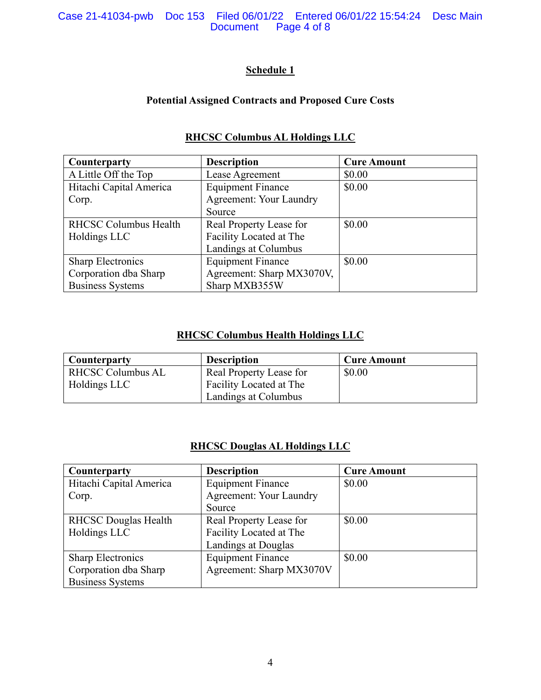#### Case 21-41034-pwb Doc 153 Filed 06/01/22 Entered 06/01/22 15:54:24 Desc Main Page 4 of 8

# **Schedule 1**

## **Potential Assigned Contracts and Proposed Cure Costs**

| Counterparty                 | <b>Description</b>        | <b>Cure Amount</b> |
|------------------------------|---------------------------|--------------------|
| A Little Off the Top         | Lease Agreement           | \$0.00             |
| Hitachi Capital America      | <b>Equipment Finance</b>  | \$0.00             |
| Corp.                        | Agreement: Your Laundry   |                    |
|                              | Source                    |                    |
| <b>RHCSC Columbus Health</b> | Real Property Lease for   | \$0.00             |
| Holdings LLC                 | Facility Located at The   |                    |
|                              | Landings at Columbus      |                    |
| <b>Sharp Electronics</b>     | <b>Equipment Finance</b>  | \$0.00             |
| Corporation dba Sharp        | Agreement: Sharp MX3070V, |                    |
| <b>Business Systems</b>      | Sharp MXB355W             |                    |

## **RHCSC Columbus AL Holdings LLC**

## **RHCSC Columbus Health Holdings LLC**

| <b>Counterparty</b>      | <b>Description</b>      | <b>Cure Amount</b> |
|--------------------------|-------------------------|--------------------|
| <b>RHCSC Columbus AL</b> | Real Property Lease for | \$0.00             |
| Holdings LLC             | Facility Located at The |                    |
|                          | Landings at Columbus    |                    |

### **RHCSC Douglas AL Holdings LLC**

| Counterparty                | <b>Description</b>             | <b>Cure Amount</b> |
|-----------------------------|--------------------------------|--------------------|
| Hitachi Capital America     | <b>Equipment Finance</b>       | \$0.00             |
| Corp.                       | <b>Agreement: Your Laundry</b> |                    |
|                             | Source                         |                    |
| <b>RHCSC Douglas Health</b> | Real Property Lease for        | \$0.00             |
| Holdings LLC                | Facility Located at The        |                    |
|                             | Landings at Douglas            |                    |
| <b>Sharp Electronics</b>    | <b>Equipment Finance</b>       | \$0.00             |
| Corporation dba Sharp       | Agreement: Sharp MX3070V       |                    |
| <b>Business Systems</b>     |                                |                    |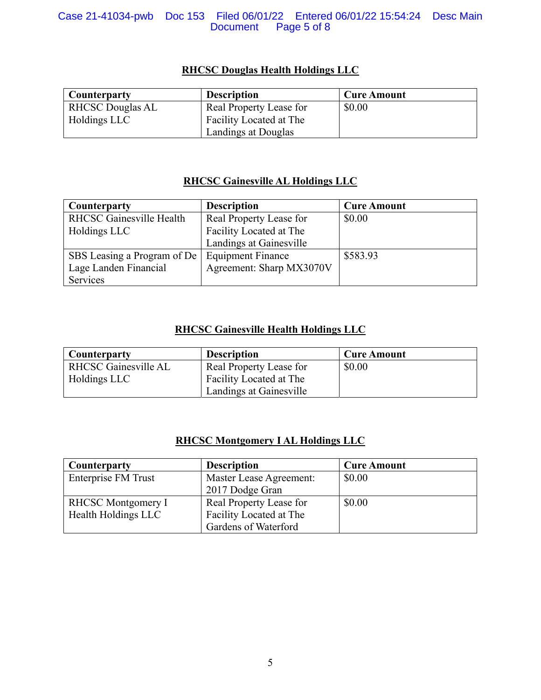#### Case 21-41034-pwb Doc 153 Filed 06/01/22 Entered 06/01/22 15:54:24 Desc Main Page 5 of 8

# **RHCSC Douglas Health Holdings LLC**

| <b>Counterparty</b>     | <b>Description</b>      | <b>Cure Amount</b> |
|-------------------------|-------------------------|--------------------|
| <b>RHCSC Douglas AL</b> | Real Property Lease for | \$0.00             |
| Holdings LLC            | Facility Located at The |                    |
|                         | Landings at Douglas     |                    |

## **RHCSC Gainesville AL Holdings LLC**

| Counterparty                    | <b>Description</b>       | <b>Cure Amount</b> |
|---------------------------------|--------------------------|--------------------|
| <b>RHCSC Gainesville Health</b> | Real Property Lease for  | \$0.00             |
| Holdings LLC                    | Facility Located at The  |                    |
|                                 | Landings at Gainesville  |                    |
| SBS Leasing a Program of De     | <b>Equipment Finance</b> | \$583.93           |
| Lage Landen Financial           | Agreement: Sharp MX3070V |                    |
| Services                        |                          |                    |

## **RHCSC Gainesville Health Holdings LLC**

| <b>Counterparty</b>         | <b>Description</b>      | <b>Cure Amount</b> |
|-----------------------------|-------------------------|--------------------|
| <b>RHCSC Gainesville AL</b> | Real Property Lease for | \$0.00             |
| Holdings LLC                | Facility Located at The |                    |
|                             | Landings at Gainesville |                    |

## **RHCSC Montgomery I AL Holdings LLC**

| Counterparty              | <b>Description</b>      | <b>Cure Amount</b> |
|---------------------------|-------------------------|--------------------|
| Enterprise FM Trust       | Master Lease Agreement: | \$0.00             |
|                           | 2017 Dodge Gran         |                    |
| <b>RHCSC</b> Montgomery I | Real Property Lease for | \$0.00             |
| Health Holdings LLC       | Facility Located at The |                    |
|                           | Gardens of Waterford    |                    |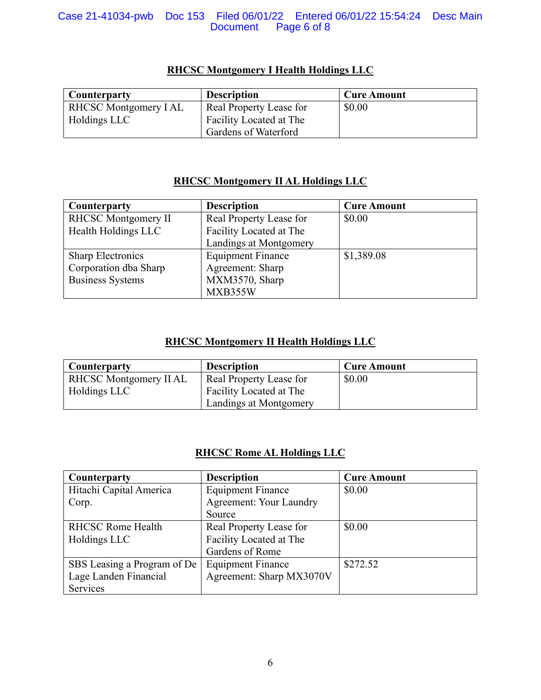#### Case 21-41034-pwb Doc 153 Filed 06/01/22 Entered 06/01/22 15:54:24 Desc Main Page 6 of 8

| <b>Counterparty</b>         | <b>Description</b>      | <b>Cure Amount</b> |
|-----------------------------|-------------------------|--------------------|
| <b>RHCSC Montgomery IAL</b> | Real Property Lease for | \$0.00             |
| Holdings LLC                | Facility Located at The |                    |
|                             | Gardens of Waterford    |                    |

# **RHCSC Montgomery I Health Holdings LLC**

## **RHCSC Montgomery II AL Holdings LLC**

| Counterparty               | <b>Description</b>       | <b>Cure Amount</b> |
|----------------------------|--------------------------|--------------------|
| <b>RHCSC Montgomery II</b> | Real Property Lease for  | \$0.00             |
| Health Holdings LLC        | Facility Located at The  |                    |
|                            | Landings at Montgomery   |                    |
| <b>Sharp Electronics</b>   | <b>Equipment Finance</b> | \$1,389.08         |
| Corporation dba Sharp      | Agreement: Sharp         |                    |
| <b>Business Systems</b>    | MXM3570, Sharp           |                    |
|                            | MXB355W                  |                    |

## **RHCSC Montgomery II Health Holdings LLC**

| Counterparty           | <b>Description</b>      | <b>Cure Amount</b> |
|------------------------|-------------------------|--------------------|
| RHCSC Montgomery II AL | Real Property Lease for | \$0.00             |
| Holdings LLC           | Facility Located at The |                    |
|                        | Landings at Montgomery  |                    |

## **RHCSC Rome AL Holdings LLC**

| Counterparty                | <b>Description</b>             | <b>Cure Amount</b> |
|-----------------------------|--------------------------------|--------------------|
| Hitachi Capital America     | <b>Equipment Finance</b>       | \$0.00             |
| Corp.                       | <b>Agreement: Your Laundry</b> |                    |
|                             | Source                         |                    |
| <b>RHCSC Rome Health</b>    | Real Property Lease for        | \$0.00             |
| Holdings LLC                | Facility Located at The        |                    |
|                             | Gardens of Rome                |                    |
| SBS Leasing a Program of De | <b>Equipment Finance</b>       | \$272.52           |
| Lage Landen Financial       | Agreement: Sharp MX3070V       |                    |
| Services                    |                                |                    |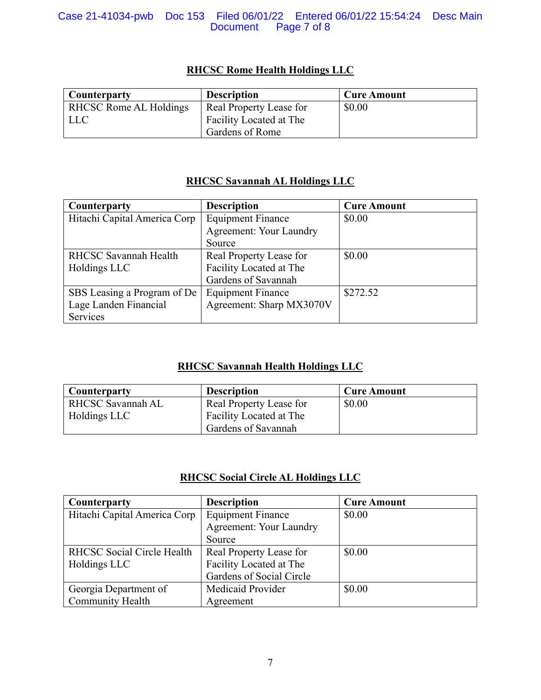#### Case 21-41034-pwb Doc 153 Filed 06/01/22 Entered 06/01/22 15:54:24 Desc Main Document Page 7 of 8

## **RHCSC Rome Health Holdings LLC**

| Counterparty                  | <b>Description</b>      | <b>Cure Amount</b> |
|-------------------------------|-------------------------|--------------------|
| <b>RHCSC Rome AL Holdings</b> | Real Property Lease for | \$0.00             |
| LLC                           | Facility Located at The |                    |
|                               | Gardens of Rome         |                    |

## **RHCSC Savannah AL Holdings LLC**

| Counterparty                 | <b>Description</b>             | <b>Cure Amount</b> |
|------------------------------|--------------------------------|--------------------|
| Hitachi Capital America Corp | <b>Equipment Finance</b>       | \$0.00             |
|                              | <b>Agreement: Your Laundry</b> |                    |
|                              | Source                         |                    |
| <b>RHCSC Savannah Health</b> | Real Property Lease for        | \$0.00             |
| Holdings LLC                 | Facility Located at The        |                    |
|                              | Gardens of Savannah            |                    |
| SBS Leasing a Program of De  | <b>Equipment Finance</b>       | \$272.52           |
| Lage Landen Financial        | Agreement: Sharp MX3070V       |                    |
| Services                     |                                |                    |

# **RHCSC Savannah Health Holdings LLC**

| <b>Counterparty</b> | <b>Description</b>      | <b>Cure Amount</b> |
|---------------------|-------------------------|--------------------|
| RHCSC Savannah AL   | Real Property Lease for | \$0.00             |
| Holdings LLC        | Facility Located at The |                    |
|                     | Gardens of Savannah     |                    |

### **RHCSC Social Circle AL Holdings LLC**

| Counterparty                 | <b>Description</b>             | <b>Cure Amount</b> |
|------------------------------|--------------------------------|--------------------|
| Hitachi Capital America Corp | <b>Equipment Finance</b>       | \$0.00             |
|                              | <b>Agreement: Your Laundry</b> |                    |
|                              | Source                         |                    |
| RHCSC Social Circle Health   | Real Property Lease for        | \$0.00             |
| Holdings LLC                 | Facility Located at The        |                    |
|                              | Gardens of Social Circle       |                    |
| Georgia Department of        | Medicaid Provider              | \$0.00             |
| Community Health             | Agreement                      |                    |